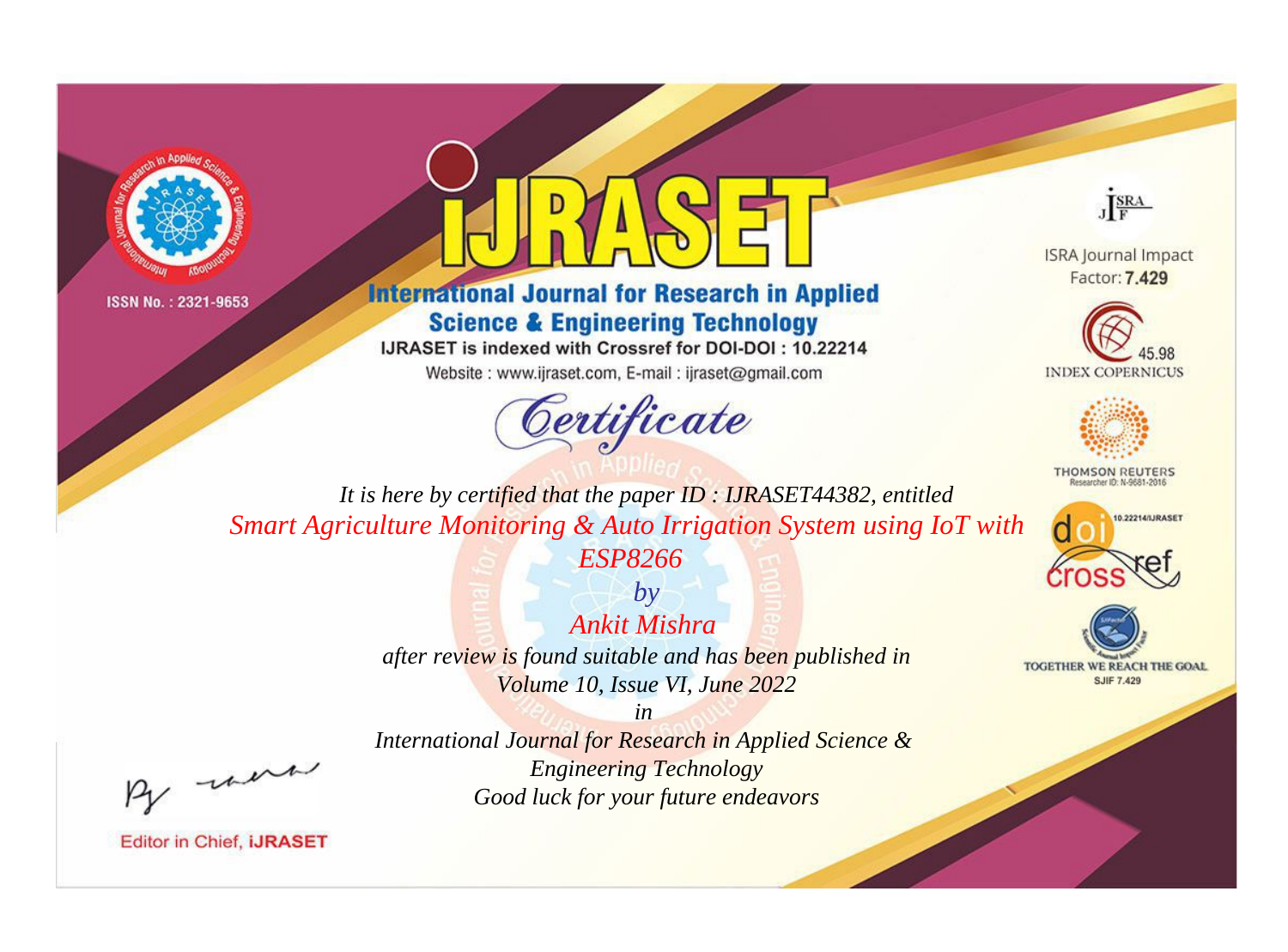



# **International Journal for Research in Applied Science & Engineering Technology**

IJRASET is indexed with Crossref for DOI-DOI: 10.22214

Website: www.ijraset.com, E-mail: ijraset@gmail.com



JERA

**ISRA Journal Impact** Factor: 7.429





**THOMSON REUTERS** 



TOGETHER WE REACH THE GOAL **SJIF 7.429** 

*It is here by certified that the paper ID : IJRASET44382, entitled Smart Agriculture Monitoring & Auto Irrigation System using IoT with* 

*ESP8266 by*

*Ankit Mishra after review is found suitable and has been published in Volume 10, Issue VI, June 2022*

*in International Journal for Research in Applied Science & Engineering Technology Good luck for your future endeavors*

, un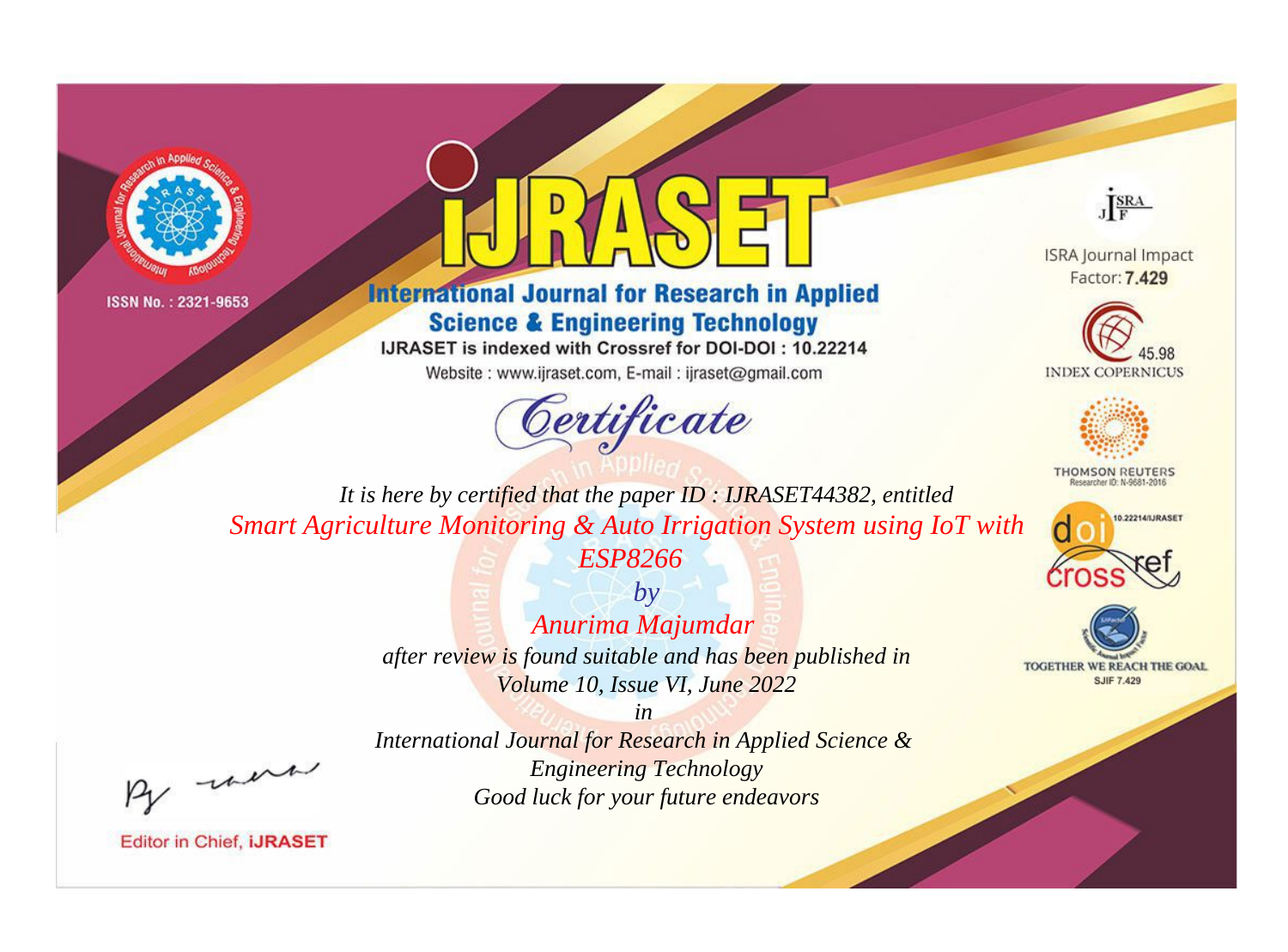



**International Journal for Research in Applied Science & Engineering Technology** 

IJRASET is indexed with Crossref for DOI-DOI: 10.22214

Website: www.ijraset.com, E-mail: ijraset@gmail.com





**ISRA Journal Impact** Factor: 7.429





**THOMSON REUTERS** 



TOGETHER WE REACH THE GOAL **SJIF 7.429** 

*It is here by certified that the paper ID : IJRASET44382, entitled Smart Agriculture Monitoring & Auto Irrigation System using IoT with ESP8266*

> *by Anurima Majumdar after review is found suitable and has been published in Volume 10, Issue VI, June 2022*

*in International Journal for Research in Applied Science & Engineering Technology Good luck for your future endeavors*

, were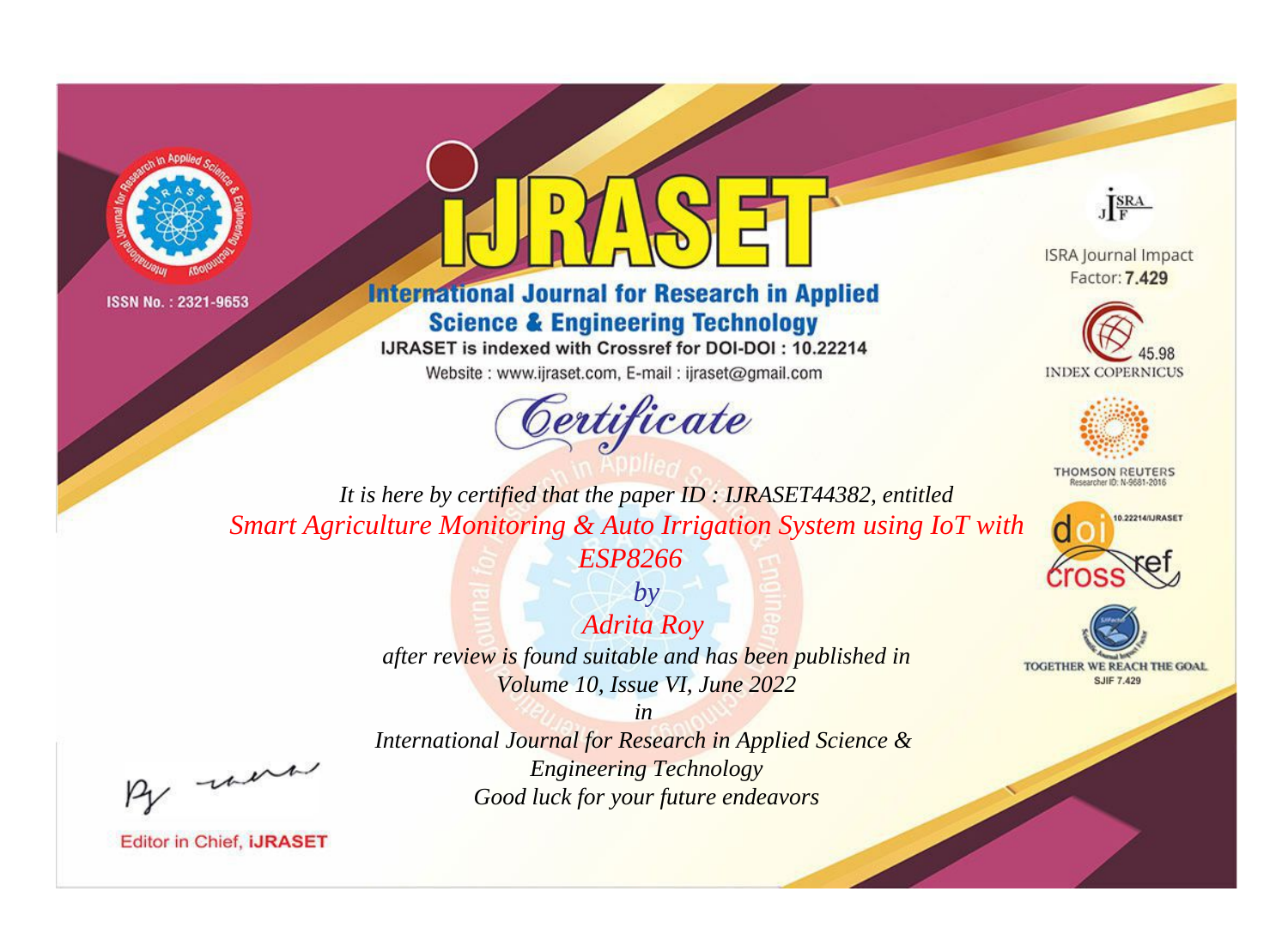



# **International Journal for Research in Applied Science & Engineering Technology**

IJRASET is indexed with Crossref for DOI-DOI: 10.22214

Website: www.ijraset.com, E-mail: ijraset@gmail.com



JERA

**ISRA Journal Impact** Factor: 7.429





**THOMSON REUTERS** 



TOGETHER WE REACH THE GOAL **SJIF 7.429** 

*It is here by certified that the paper ID : IJRASET44382, entitled Smart Agriculture Monitoring & Auto Irrigation System using IoT with* 

*ESP8266 by Adrita Roy* 

*after review is found suitable and has been published in Volume 10, Issue VI, June 2022*

*in* 

, un

*International Journal for Research in Applied Science & Engineering Technology Good luck for your future endeavors*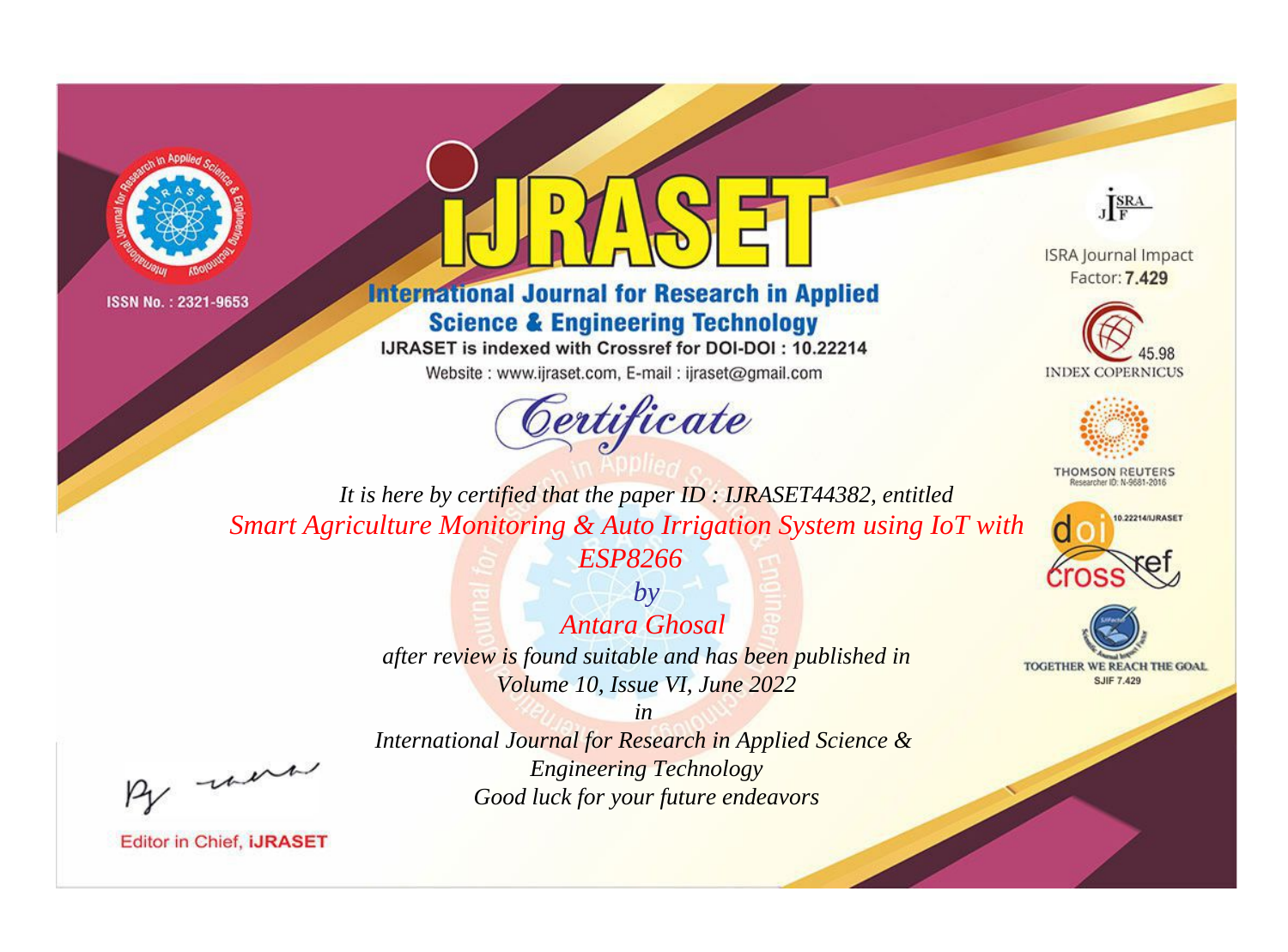



# **International Journal for Research in Applied Science & Engineering Technology**

IJRASET is indexed with Crossref for DOI-DOI: 10.22214

Website: www.ijraset.com, E-mail: ijraset@gmail.com





**ISRA Journal Impact** Factor: 7.429





**THOMSON REUTERS** 



TOGETHER WE REACH THE GOAL **SJIF 7.429** 

*It is here by certified that the paper ID : IJRASET44382, entitled Smart Agriculture Monitoring & Auto Irrigation System using IoT with* 

*ESP8266*

*by Antara Ghosal after review is found suitable and has been published in Volume 10, Issue VI, June 2022*

*in* 

*International Journal for Research in Applied Science & Engineering Technology Good luck for your future endeavors*

, un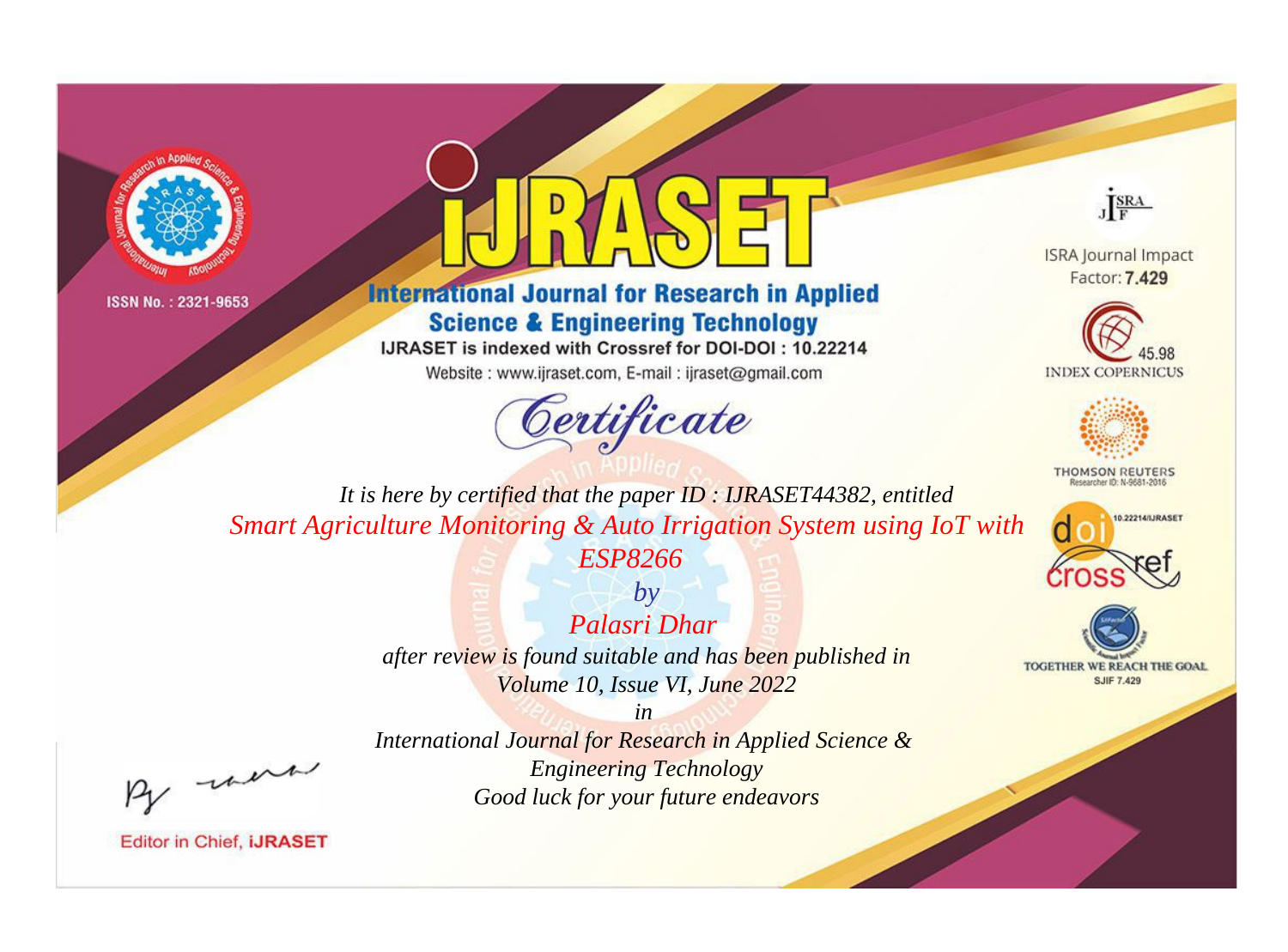



# **International Journal for Research in Applied Science & Engineering Technology**

IJRASET is indexed with Crossref for DOI-DOI: 10.22214

Website: www.ijraset.com, E-mail: ijraset@gmail.com





**ISRA Journal Impact** Factor: 7.429





**THOMSON REUTERS** 



TOGETHER WE REACH THE GOAL **SJIF 7.429** 

*It is here by certified that the paper ID : IJRASET44382, entitled Smart Agriculture Monitoring & Auto Irrigation System using IoT with* 

*ESP8266*

*by Palasri Dhar after review is found suitable and has been published in Volume 10, Issue VI, June 2022*

, un

*International Journal for Research in Applied Science & Engineering Technology Good luck for your future endeavors*

*in*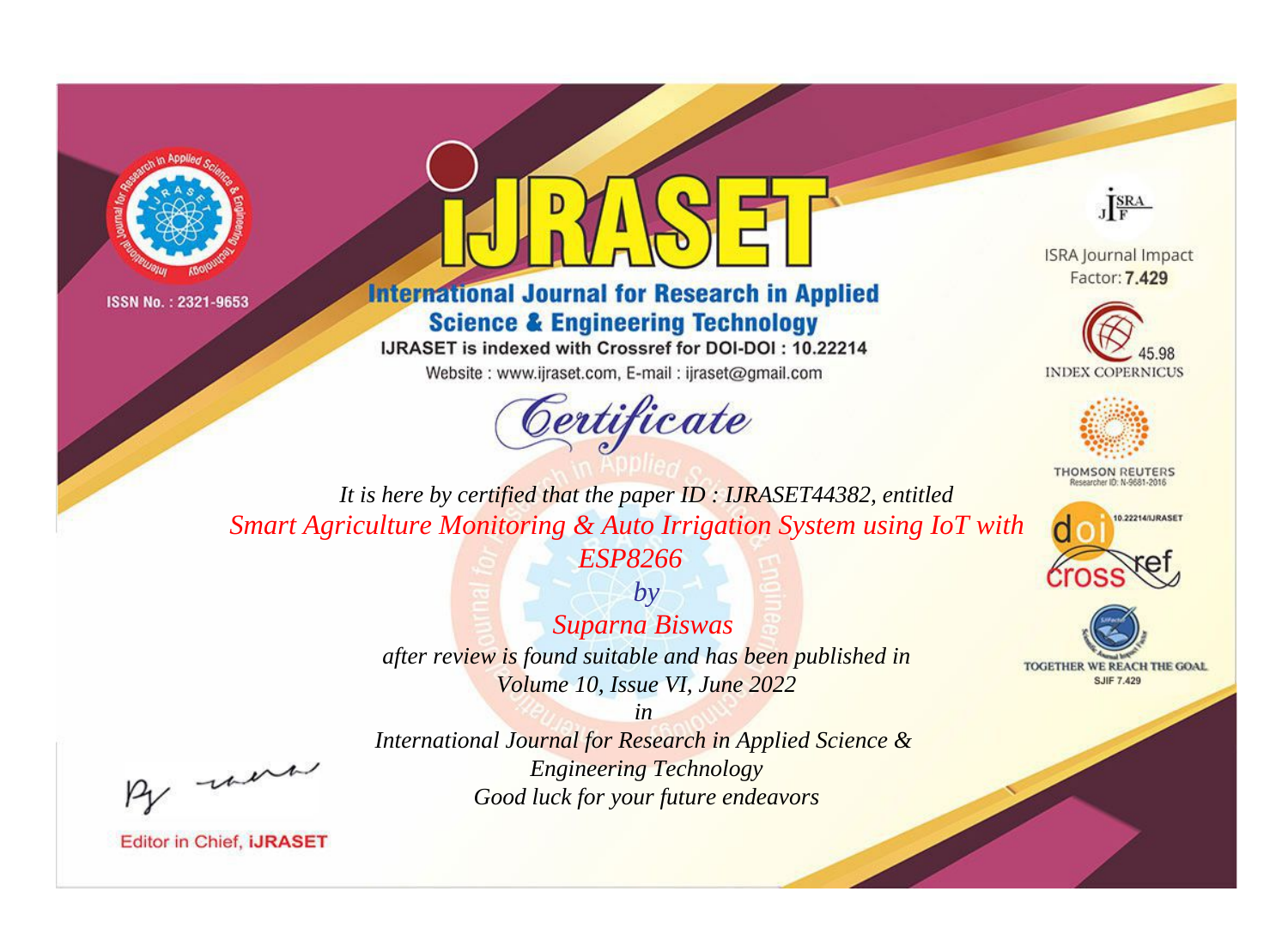



# **International Journal for Research in Applied Science & Engineering Technology**

IJRASET is indexed with Crossref for DOI-DOI: 10.22214

Website: www.ijraset.com, E-mail: ijraset@gmail.com





**ISRA Journal Impact** Factor: 7.429





**THOMSON REUTERS** 



TOGETHER WE REACH THE GOAL **SJIF 7.429** 

*It is here by certified that the paper ID : IJRASET44382, entitled Smart Agriculture Monitoring & Auto Irrigation System using IoT with* 

*ESP8266 by*

*Suparna Biswas after review is found suitable and has been published in Volume 10, Issue VI, June 2022*

*in* 

, were

*International Journal for Research in Applied Science & Engineering Technology Good luck for your future endeavors*